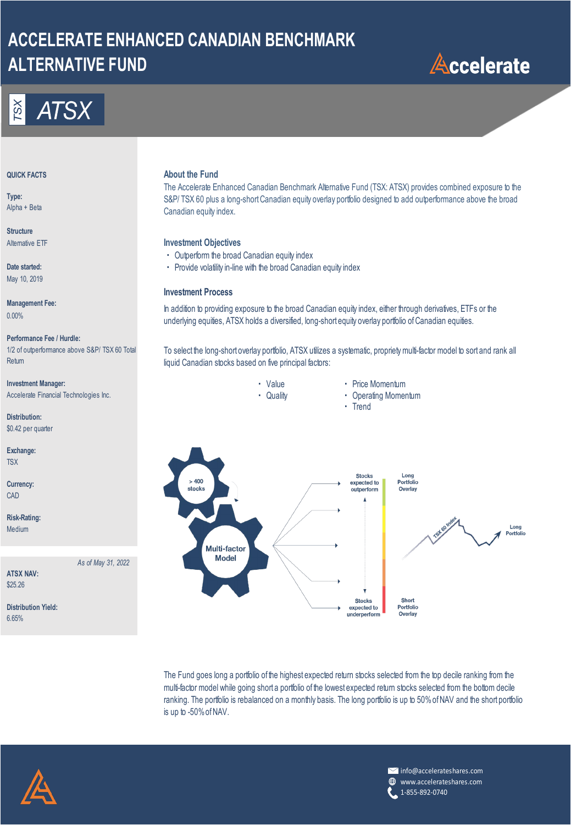## **ACCELERATE ENHANCED CANADIAN BENCHMARK ALTERNATIVE FUND**





**Type:** Alpha + Beta

**Structure**

**Date started:** May 10, 2019

**Management Fee:** 0.00%

### **Performance Fee / Hurdle:**

1/2 of outperformance above S&P/ TSX 60 Total **Return** 

**Investment Manager: Alternative Contract Contract Contract Contract Contract Contract Price Momentum** Accelerate Financial Technologies Inc. <br> **Accelerate Financial Technologies Inc.** The Company of Cuality **1999** Cuality **1999** Cuality **1999** Cuality **1999** Cuality **1999** Cuality **1999** Cuality **1999** Cuality **1999** Cuali

**Distribution:** \$0.42 per quarter

**Exchange: TSX** 

**Currency:** CAD

**Risk-Rating:** Medium

*As of May 31, 2022*

**Distribution Yield:**

**ATSX NAV:** \$25.26

6.65%

## **About the Fund About the Fund**

The Accelerate Enhanced Canadian Benchmark Alternative Fund (TSX: ATSX) provides combined exposure to the S&P/ TSX 60 plus a long-short Canadian equity overlay portfolio designed to add outperformance above the broad Canadian equity index.

## Alternative ETF **Investment Objectives**

- ・ Outperform the broad Canadian equity index
- ・ Provide volatility in-line with the broad Canadian equity index

## **Investment Process**

In addition to providing exposure to the broad Canadian equity index, either through derivatives, ETFs or the underlying equities, ATSX holds a diversified, long-short equity overlay portfolio of Canadian equities.

To select the long-short overlay portfolio, ATSX utilizes a systematic, propriety multi-factor model to sort and rank all liquid Canadian stocks based on five principal factors:

- -
- ・ Trend
	-



The Fund goes long a portfolio of the highest expected return stocks selected from the top decile ranking from the multi-factor model while going short a portfolio of the lowest expected return stocks selected from the bottom decile ranking. The portfolio is rebalanced on a monthly basis. The long portfolio is up to 50% of NAV and the short portfolio is up to -50% of NAV.



info@accelerateshares.com www.accelerateshares.com ⊕ 1-855-892-0740